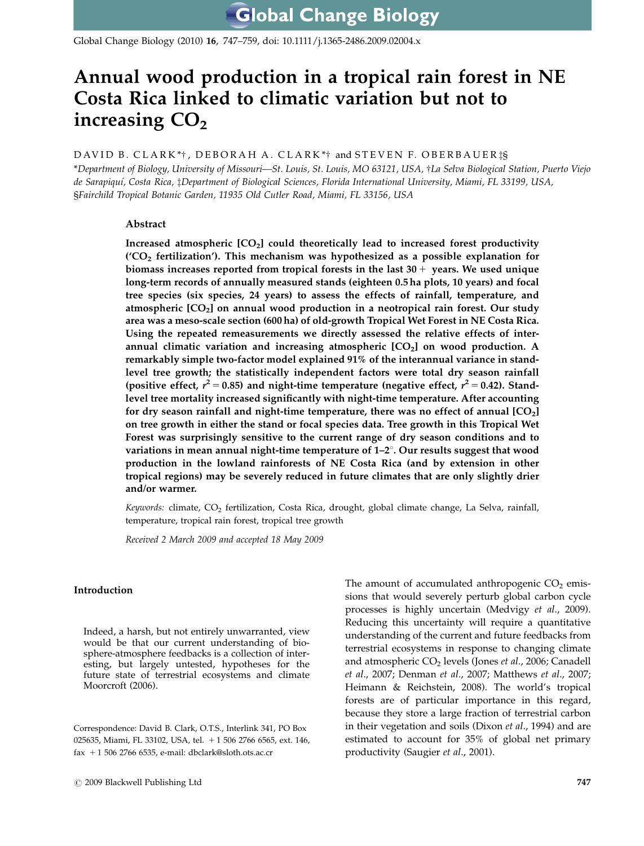Global Change Biology (2010) 16, 747–759, doi: 10.1111/j.1365-2486.2009.02004.x

# Annual wood production in a tropical rain forest in NE Costa Rica linked to climatic variation but not to increasing  $CO<sub>2</sub>$

## DAVID B. CLARK\*†, DEBORAH A. CLARK\*† and STEVEN F. OBERBAUER is

\*Department of Biology, University of Missouri—St. Louis, St. Louis, MO 63121, USA, †La Selva Biological Station, Puerto Viejo de Sarapiquí, Costa Rica, ‡Department of Biological Sciences, Florida International University, Miami, FL 33199, USA, §Fairchild Tropical Botanic Garden, 11935 Old Cutler Road, Miami, FL 33156, USA

## Abstract

Increased atmospheric  $[CO<sub>2</sub>]$  could theoretically lead to increased forest productivity  $(CO<sub>2</sub>$  fertilization'). This mechanism was hypothesized as a possible explanation for biomass increases reported from tropical forests in the last  $30 +$  years. We used unique long-term records of annually measured stands (eighteen 0.5 ha plots, 10 years) and focal tree species (six species, 24 years) to assess the effects of rainfall, temperature, and atmospheric [CO2] on annual wood production in a neotropical rain forest. Our study area was a meso-scale section (600 ha) of old-growth Tropical Wet Forest in NE Costa Rica. Using the repeated remeasurements we directly assessed the relative effects of interannual climatic variation and increasing atmospheric  $[CO<sub>2</sub>]$  on wood production. A remarkably simple two-factor model explained 91% of the interannual variance in standlevel tree growth; the statistically independent factors were total dry season rainfall (positive effect,  $r^2 = 0.85$ ) and night-time temperature (negative effect,  $r^2 = 0.42$ ). Standlevel tree mortality increased significantly with night-time temperature. After accounting for dry season rainfall and night-time temperature, there was no effect of annual  $[CO<sub>2</sub>]$ on tree growth in either the stand or focal species data. Tree growth in this Tropical Wet Forest was surprisingly sensitive to the current range of dry season conditions and to variations in mean annual night-time temperature of  $1-2^\circ$ . Our results suggest that wood production in the lowland rainforests of NE Costa Rica (and by extension in other tropical regions) may be severely reduced in future climates that are only slightly drier and/or warmer.

Keywords: climate, CO<sub>2</sub> fertilization, Costa Rica, drought, global climate change, La Selva, rainfall, temperature, tropical rain forest, tropical tree growth

Received 2 March 2009 and accepted 18 May 2009

#### Introduction

Indeed, a harsh, but not entirely unwarranted, view would be that our current understanding of biosphere-atmosphere feedbacks is a collection of interesting, but largely untested, hypotheses for the future state of terrestrial ecosystems and climate Moorcroft (2006).

Correspondence: David B. Clark, O.T.S., Interlink 341, PO Box 025635, Miami, FL 33102, USA, tel. + 1 506 2766 6565, ext. 146, fax 1 1 506 2766 6535, e-mail: [dbclark@sloth.ots.ac.cr](mailto:dbclark@sloth.ots.ac.cr)

The amount of accumulated anthropogenic  $CO<sub>2</sub>$  emissions that would severely perturb global carbon cycle processes is highly uncertain (Medvigy et al., 2009). Reducing this uncertainty will require a quantitative understanding of the current and future feedbacks from terrestrial ecosystems in response to changing climate and atmospheric  $CO<sub>2</sub>$  levels (Jones *et al.*, 2006; Canadell et al., 2007; Denman et al., 2007; Matthews et al., 2007; Heimann & Reichstein, 2008). The world's tropical forests are of particular importance in this regard, because they store a large fraction of terrestrial carbon in their vegetation and soils (Dixon et al., 1994) and are estimated to account for 35% of global net primary productivity (Saugier et al., 2001).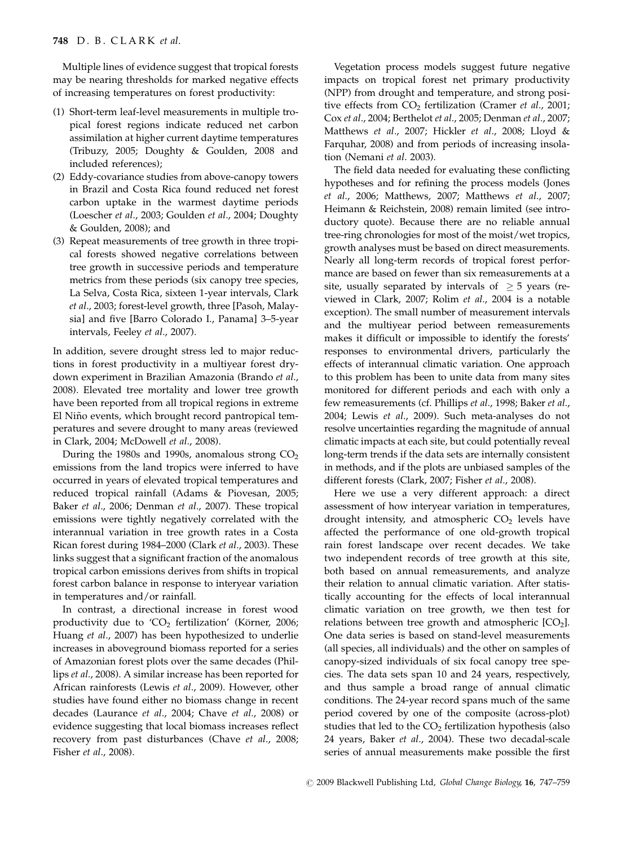Multiple lines of evidence suggest that tropical forests may be nearing thresholds for marked negative effects of increasing temperatures on forest productivity:

- (1) Short-term leaf-level measurements in multiple tropical forest regions indicate reduced net carbon assimilation at higher current daytime temperatures (Tribuzy, 2005; Doughty & Goulden, 2008 and included references);
- (2) Eddy-covariance studies from above-canopy towers in Brazil and Costa Rica found reduced net forest carbon uptake in the warmest daytime periods (Loescher et al., 2003; Goulden et al., 2004; Doughty & Goulden, 2008); and
- (3) Repeat measurements of tree growth in three tropical forests showed negative correlations between tree growth in successive periods and temperature metrics from these periods (six canopy tree species, La Selva, Costa Rica, sixteen 1-year intervals, Clark et al., 2003; forest-level growth, three [Pasoh, Malaysia] and five [Barro Colorado I., Panama] 3–5-year intervals, Feeley et al., 2007).

In addition, severe drought stress led to major reductions in forest productivity in a multiyear forest drydown experiment in Brazilian Amazonia (Brando et al., 2008). Elevated tree mortality and lower tree growth have been reported from all tropical regions in extreme El Niño events, which brought record pantropical temperatures and severe drought to many areas (reviewed in Clark, 2004; McDowell et al., 2008).

During the 1980s and 1990s, anomalous strong  $CO<sub>2</sub>$ emissions from the land tropics were inferred to have occurred in years of elevated tropical temperatures and reduced tropical rainfall (Adams & Piovesan, 2005; Baker et al., 2006; Denman et al., 2007). These tropical emissions were tightly negatively correlated with the interannual variation in tree growth rates in a Costa Rican forest during 1984–2000 (Clark et al., 2003). These links suggest that a significant fraction of the anomalous tropical carbon emissions derives from shifts in tropical forest carbon balance in response to interyear variation in temperatures and/or rainfall.

In contrast, a directional increase in forest wood productivity due to ' $CO<sub>2</sub>$  fertilization' (Körner, 2006; Huang et al., 2007) has been hypothesized to underlie increases in aboveground biomass reported for a series of Amazonian forest plots over the same decades (Phillips et al., 2008). A similar increase has been reported for African rainforests (Lewis et al., 2009). However, other studies have found either no biomass change in recent decades (Laurance et al., 2004; Chave et al., 2008) or evidence suggesting that local biomass increases reflect recovery from past disturbances (Chave et al., 2008; Fisher et al., 2008).

Vegetation process models suggest future negative impacts on tropical forest net primary productivity (NPP) from drought and temperature, and strong positive effects from  $CO<sub>2</sub>$  fertilization (Cramer et al., 2001; Cox et al., 2004; Berthelot et al., 2005; Denman et al., 2007; Matthews et al., 2007; Hickler et al., 2008; Lloyd & Farquhar, 2008) and from periods of increasing insolation (Nemani et al. 2003).

The field data needed for evaluating these conflicting hypotheses and for refining the process models (Jones et al., 2006; Matthews, 2007; Matthews et al., 2007; Heimann & Reichstein, 2008) remain limited (see introductory quote). Because there are no reliable annual tree-ring chronologies for most of the moist/wet tropics, growth analyses must be based on direct measurements. Nearly all long-term records of tropical forest performance are based on fewer than six remeasurements at a site, usually separated by intervals of  $\geq$  5 years (reviewed in Clark, 2007; Rolim et al., 2004 is a notable exception). The small number of measurement intervals and the multiyear period between remeasurements makes it difficult or impossible to identify the forests' responses to environmental drivers, particularly the effects of interannual climatic variation. One approach to this problem has been to unite data from many sites monitored for different periods and each with only a few remeasurements (cf. Phillips et al., 1998; Baker et al., 2004; Lewis et al., 2009). Such meta-analyses do not resolve uncertainties regarding the magnitude of annual climatic impacts at each site, but could potentially reveal long-term trends if the data sets are internally consistent in methods, and if the plots are unbiased samples of the different forests (Clark, 2007; Fisher et al., 2008).

Here we use a very different approach: a direct assessment of how interyear variation in temperatures, drought intensity, and atmospheric  $CO<sub>2</sub>$  levels have affected the performance of one old-growth tropical rain forest landscape over recent decades. We take two independent records of tree growth at this site, both based on annual remeasurements, and analyze their relation to annual climatic variation. After statistically accounting for the effects of local interannual climatic variation on tree growth, we then test for relations between tree growth and atmospheric  $[CO<sub>2</sub>]$ . One data series is based on stand-level measurements (all species, all individuals) and the other on samples of canopy-sized individuals of six focal canopy tree species. The data sets span 10 and 24 years, respectively, and thus sample a broad range of annual climatic conditions. The 24-year record spans much of the same period covered by one of the composite (across-plot) studies that led to the  $CO<sub>2</sub>$  fertilization hypothesis (also 24 years, Baker et al., 2004). These two decadal-scale series of annual measurements make possible the first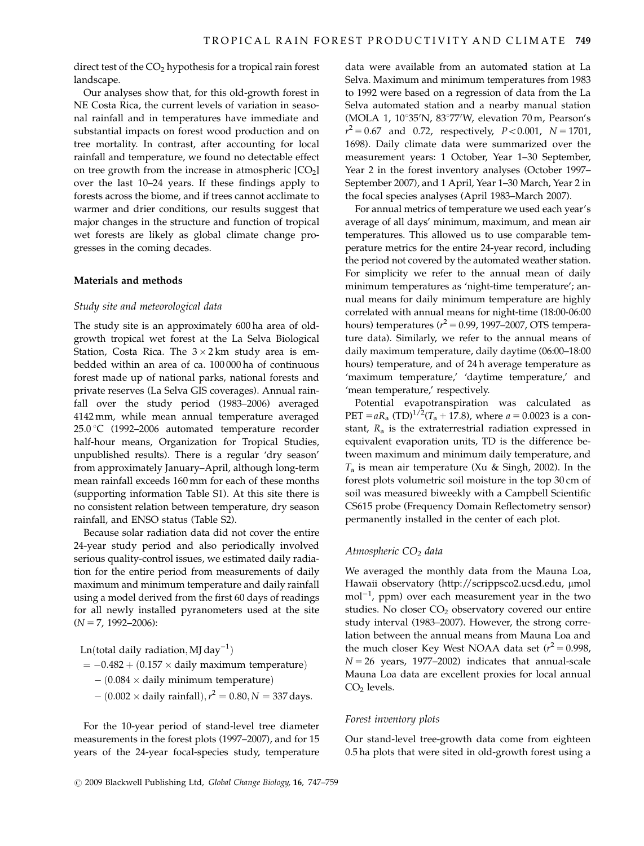direct test of the  $CO<sub>2</sub>$  hypothesis for a tropical rain forest landscape.

Our analyses show that, for this old-growth forest in NE Costa Rica, the current levels of variation in seasonal rainfall and in temperatures have immediate and substantial impacts on forest wood production and on tree mortality. In contrast, after accounting for local rainfall and temperature, we found no detectable effect on tree growth from the increase in atmospheric  $[CO<sub>2</sub>]$ over the last 10–24 years. If these findings apply to forests across the biome, and if trees cannot acclimate to warmer and drier conditions, our results suggest that major changes in the structure and function of tropical wet forests are likely as global climate change progresses in the coming decades.

## Materials and methods

#### Study site and meteorological data

The study site is an approximately 600 ha area of oldgrowth tropical wet forest at the La Selva Biological Station, Costa Rica. The  $3 \times 2$  km study area is embedded within an area of ca. 100 000 ha of continuous forest made up of national parks, national forests and private reserves (La Selva GIS coverages). Annual rainfall over the study period (1983–2006) averaged 4142 mm, while mean annual temperature averaged 25.0 °C (1992–2006 automated temperature recorder half-hour means, Organization for Tropical Studies, unpublished results). There is a regular 'dry season' from approximately January–April, although long-term mean rainfall exceeds 160 mm for each of these months (supporting information Table S1). At this site there is no consistent relation between temperature, dry season rainfall, and ENSO status (Table S2).

Because solar radiation data did not cover the entire 24-year study period and also periodically involved serious quality-control issues, we estimated daily radiation for the entire period from measurements of daily maximum and minimum temperature and daily rainfall using a model derived from the first 60 days of readings for all newly installed pyranometers used at the site  $(N = 7, 1992 - 2006)$ :

Ln(total daily radiation, MJ day $^{-1}$ )

$$
= -0.482 + (0.157 \times daily maximum temperature)
$$

 $-$  (0.084  $\times$  daily minimum temperature)

 $\ddot{\phi}$  = (0.002  $\times$  daily rainfall),  $r^2 = 0.80, N = 337$  days.

For the 10-year period of stand-level tree diameter measurements in the forest plots (1997–2007), and for 15 years of the 24-year focal-species study, temperature

data were available from an automated station at La Selva. Maximum and minimum temperatures from 1983 to 1992 were based on a regression of data from the La Selva automated station and a nearby manual station (MOLA 1, 10°35'N, 83°77'W, elevation 70 m, Pearson's  $r^2 = 0.67$  and 0.72, respectively,  $P < 0.001$ ,  $N = 1701$ , 1698). Daily climate data were summarized over the measurement years: 1 October, Year 1–30 September, Year 2 in the forest inventory analyses (October 1997– September 2007), and 1 April, Year 1–30 March, Year 2 in the focal species analyses (April 1983–March 2007).

For annual metrics of temperature we used each year's average of all days' minimum, maximum, and mean air temperatures. This allowed us to use comparable temperature metrics for the entire 24-year record, including the period not covered by the automated weather station. For simplicity we refer to the annual mean of daily minimum temperatures as 'night-time temperature'; annual means for daily minimum temperature are highly correlated with annual means for night-time (18:00-06:00 hours) temperatures ( $r^2$  = 0.99, 1997–2007, OTS temperature data). Similarly, we refer to the annual means of daily maximum temperature, daily daytime (06:00–18:00 hours) temperature, and of 24 h average temperature as 'maximum temperature,' 'daytime temperature,' and 'mean temperature,' respectively.

Potential evapotranspiration was calculated as PET =  $aR_a$  (TD)<sup>1/2</sup>(T<sub>a</sub> + 17.8), where  $a = 0.0023$  is a constant,  $R_a$  is the extraterrestrial radiation expressed in equivalent evaporation units, TD is the difference between maximum and minimum daily temperature, and  $T_a$  is mean air temperature (Xu & Singh, 2002). In the forest plots volumetric soil moisture in the top 30 cm of soil was measured biweekly with a Campbell Scientific CS615 probe (Frequency Domain Reflectometry sensor) permanently installed in the center of each plot.

#### Atmospheric  $CO<sub>2</sub>$  data

We averaged the monthly data from the Mauna Loa, Hawaii observatory [\(http://scrippsco2.ucsd.edu,](http://scrippsco2.ucsd.edu) µmol  $mol<sup>-1</sup>$  $mol<sup>-1</sup>$  $mol<sup>-1</sup>$  $mol<sup>-1</sup>$ [, ppm\) over each measurement year in the two](http://scrippsco2.ucsd.edu) studies. No closer  $CO<sub>2</sub>$  [observatory covered our entire](http://scrippsco2.ucsd.edu) [study interval \(1983–2007\). However, the strong corre](http://scrippsco2.ucsd.edu)[lation between the annual means from Mauna Loa and](http://scrippsco2.ucsd.edu) [the](http://scrippsco2.ucsd.edu) [much](http://scrippsco2.ucsd.edu) [closer](http://scrippsco2.ucsd.edu) [Key](http://scrippsco2.ucsd.edu) [West](http://scrippsco2.ucsd.edu) [NOAA](http://scrippsco2.ucsd.edu) [data](http://scrippsco2.ucsd.edu) [set](http://scrippsco2.ucsd.edu)  $(r^2 = 0.998,$  $(r^2 = 0.998,$  $(r^2 = 0.998,$  $N = 26$  years, 1977–2002) indicates that annual-scale [Mauna Loa data are excellent proxies for local annual](http://scrippsco2.ucsd.edu)  $CO<sub>2</sub>$  [levels.](http://scrippsco2.ucsd.edu)

#### Forest inventory plots

Our stand-level tree-growth data come from eighteen 0.5 ha plots that were sited in old-growth forest using a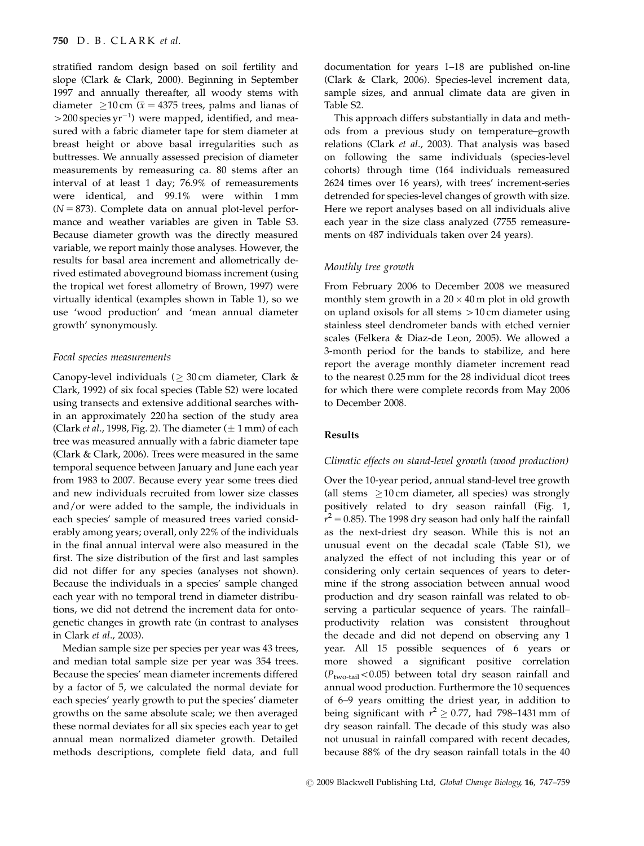stratified random design based on soil fertility and slope (Clark & Clark, 2000). Beginning in September 1997 and annually thereafter, all woody stems with diameter  $\geq$ 10 cm ( $\bar{x}$  = 4375 trees, palms and lianas of  $>$  200 species yr<sup>-1</sup>) were mapped, identified, and measured with a fabric diameter tape for stem diameter at breast height or above basal irregularities such as buttresses. We annually assessed precision of diameter measurements by remeasuring ca. 80 stems after an interval of at least 1 day; 76.9% of remeasurements were identical, and 99.1% were within 1 mm  $(N = 873)$ . Complete data on annual plot-level performance and weather variables are given in Table S3. Because diameter growth was the directly measured variable, we report mainly those analyses. However, the results for basal area increment and allometrically derived estimated aboveground biomass increment (using the tropical wet forest allometry of Brown, 1997) were virtually identical (examples shown in Table 1), so we use 'wood production' and 'mean annual diameter growth' synonymously.

#### Focal species measurements

Canopy-level individuals ( $\geq 30\,\rm cm$  diameter, Clark & Clark, 1992) of six focal species (Table S2) were located using transects and extensive additional searches within an approximately 220 ha section of the study area (Clark *et al.*, 1998, Fig. 2). The diameter  $(\pm 1 \text{ mm})$  of each tree was measured annually with a fabric diameter tape (Clark & Clark, 2006). Trees were measured in the same temporal sequence between January and June each year from 1983 to 2007. Because every year some trees died and new individuals recruited from lower size classes and/or were added to the sample, the individuals in each species' sample of measured trees varied considerably among years; overall, only 22% of the individuals in the final annual interval were also measured in the first. The size distribution of the first and last samples did not differ for any species (analyses not shown). Because the individuals in a species' sample changed each year with no temporal trend in diameter distributions, we did not detrend the increment data for ontogenetic changes in growth rate (in contrast to analyses in Clark et al., 2003).

Median sample size per species per year was 43 trees, and median total sample size per year was 354 trees. Because the species' mean diameter increments differed by a factor of 5, we calculated the normal deviate for each species' yearly growth to put the species' diameter growths on the same absolute scale; we then averaged these normal deviates for all six species each year to get annual mean normalized diameter growth. Detailed methods descriptions, complete field data, and full

documentation for years 1–18 are published on-line (Clark & Clark, 2006). Species-level increment data, sample sizes, and annual climate data are given in Table S2.

This approach differs substantially in data and methods from a previous study on temperature–growth relations (Clark et al., 2003). That analysis was based on following the same individuals (species-level cohorts) through time (164 individuals remeasured 2624 times over 16 years), with trees' increment-series detrended for species-level changes of growth with size. Here we report analyses based on all individuals alive each year in the size class analyzed (7755 remeasurements on 487 individuals taken over 24 years).

## Monthly tree growth

From February 2006 to December 2008 we measured monthly stem growth in a  $20 \times 40$  m plot in old growth on upland oxisols for all stems  $>10$  cm diameter using stainless steel dendrometer bands with etched vernier scales (Felkera & Diaz-de Leon, 2005). We allowed a 3-month period for the bands to stabilize, and here report the average monthly diameter increment read to the nearest 0.25 mm for the 28 individual dicot trees for which there were complete records from May 2006 to December 2008.

#### Results

#### Climatic effects on stand-level growth (wood production)

Over the 10-year period, annual stand-level tree growth (all stems  $\geq 10$  cm diameter, all species) was strongly positively related to dry season rainfall (Fig. 1,  $r^2$  = 0.85). The 1998 dry season had only half the rainfall as the next-driest dry season. While this is not an unusual event on the decadal scale (Table S1), we analyzed the effect of not including this year or of considering only certain sequences of years to determine if the strong association between annual wood production and dry season rainfall was related to observing a particular sequence of years. The rainfall– productivity relation was consistent throughout the decade and did not depend on observing any 1 year. All 15 possible sequences of 6 years or more showed a significant positive correlation  $(P_{two-tail}$ <0.05) between total dry season rainfall and annual wood production. Furthermore the 10 sequences of 6–9 years omitting the driest year, in addition to being significant with  $r^2 \ge 0.77$ , had 798–1431 mm of dry season rainfall. The decade of this study was also not unusual in rainfall compared with recent decades, because 88% of the dry season rainfall totals in the 40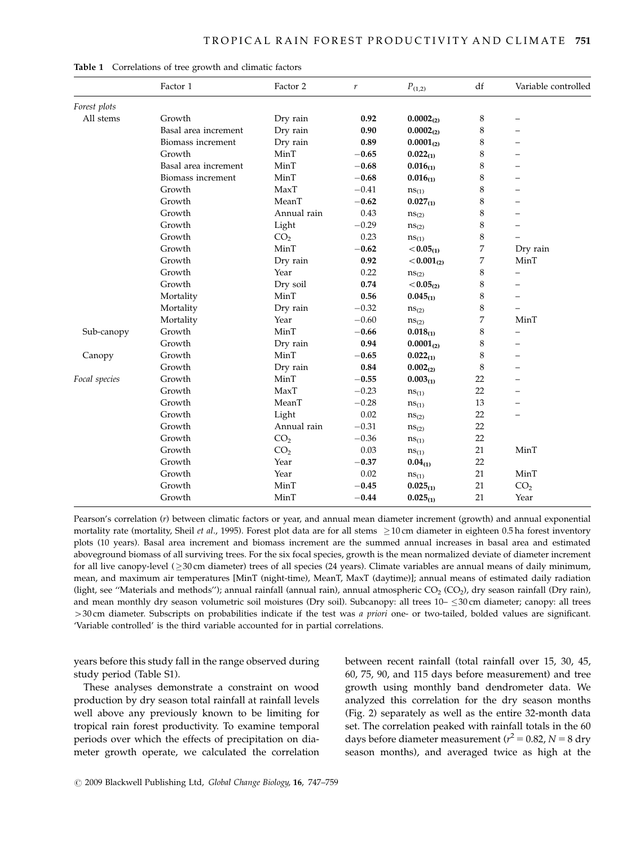|               | Factor 1             | Factor 2        | r       | $P_{\left( 1,2\right) }$ | df | Variable controlled      |
|---------------|----------------------|-----------------|---------|--------------------------|----|--------------------------|
| Forest plots  |                      |                 |         |                          |    |                          |
| All stems     | Growth               | Dry rain        | 0.92    | $0.0002_{(2)}$           | 8  |                          |
|               | Basal area increment | Dry rain        | 0.90    | $0.0002_{(2)}$           | 8  |                          |
|               | Biomass increment    | Dry rain        | 0.89    | $0.0001_{(2)}$           | 8  |                          |
|               | Growth               | MinT            | $-0.65$ | $0.022_{(1)}$            | 8  |                          |
|               | Basal area increment | MinT            | $-0.68$ | $0.016_{(1)}$            | 8  |                          |
|               | Biomass increment    | MinT            | $-0.68$ | $0.016_{(1)}$            | 8  |                          |
|               | Growth               | MaxT            | $-0.41$ | $ns_{(1)}$               | 8  |                          |
|               | Growth               | MeanT           | $-0.62$ | $0.027_{(1)}$            | 8  |                          |
|               | Growth               | Annual rain     | 0.43    | $ns_{(2)}$               | 8  |                          |
|               | Growth               | Light           | $-0.29$ | $ns_{(2)}$               | 8  |                          |
|               | Growth               | CO <sub>2</sub> | 0.23    | $ns_{(1)}$               | 8  |                          |
|               | Growth               | MinT            | $-0.62$ | $< 0.05_{(1)}$           | 7  | Dry rain                 |
|               | Growth               | Dry rain        | 0.92    | $< 0.001_{(2)}$          | 7  | MinT                     |
|               | Growth               | Year            | 0.22    | $ns_{(2)}$               | 8  | $\overline{\phantom{0}}$ |
|               | Growth               | Dry soil        | 0.74    | $< 0.05_{(2)}$           | 8  | -                        |
|               | Mortality            | MinT            | 0.56    | $0.045_{(1)}$            | 8  |                          |
|               | Mortality            | Dry rain        | $-0.32$ | $ns_{(2)}$               | 8  |                          |
|               | Mortality            | Year            | $-0.60$ | $ns_{(2)}$               | 7  | MinT                     |
| Sub-canopy    | Growth               | MinT            | $-0.66$ | $0.018_{(1)}$            | 8  | $\overline{\phantom{0}}$ |
|               | Growth               | Dry rain        | 0.94    | $0.0001_{(2)}$           | 8  | $\equiv$                 |
| Canopy        | Growth               | MinT            | $-0.65$ | $0.022_{(1)}$            | 8  |                          |
|               | Growth               | Dry rain        | 0.84    | $0.002_{(2)}$            | 8  |                          |
| Focal species | Growth               | MinT            | $-0.55$ | $0.003_{(1)}$            | 22 |                          |
|               | Growth               | MaxT            | $-0.23$ | $ns_{(1)}$               | 22 |                          |
|               | Growth               | MeanT           | $-0.28$ | $ns_{(1)}$               | 13 |                          |
|               | Growth               | Light           | 0.02    | $ns_{(2)}$               | 22 |                          |
|               | Growth               | Annual rain     | $-0.31$ | $ns_{(2)}$               | 22 |                          |
|               | Growth               | CO <sub>2</sub> | $-0.36$ | $ns_{(1)}$               | 22 |                          |
|               | Growth               | CO <sub>2</sub> | 0.03    | $ns_{(1)}$               | 21 | MinT                     |
|               | Growth               | Year            | $-0.37$ | $0.04_{(1)}$             | 22 |                          |
|               | Growth               | Year            | 0.02    | $ns_{(1)}$               | 21 | MinT                     |
|               | Growth               | MinT            | $-0.45$ | $0.025_{(1)}$            | 21 | CO <sub>2</sub>          |
|               | Growth               | MinT            | $-0.44$ | $0.025_{(1)}$            | 21 | Year                     |

Table 1 Correlations of tree growth and climatic factors

Pearson's correlation (r) between climatic factors or year, and annual mean diameter increment (growth) and annual exponential mortality rate (mortality, Sheil *et al.*, 1995). Forest plot data are for all stems  $\geq$  10 cm diameter in eighteen 0.5 ha forest inventory plots (10 years). Basal area increment and biomass increment are the summed annual increases in basal area and estimated aboveground biomass of all surviving trees. For the six focal species, growth is the mean normalized deviate of diameter increment for all live canopy-level (≥30 cm diameter) trees of all species (24 years). Climate variables are annual means of daily minimum, mean, and maximum air temperatures [MinT (night-time), MeanT, MaxT (daytime)]; annual means of estimated daily radiation (light, see "Materials and methods"); annual rainfall (annual rain), annual atmospheric  $CO<sub>2</sub> (CO<sub>2</sub>)$ , dry season rainfall (Dry rain), and mean monthly dry season volumetric soil moistures (Dry soil). Subcanopy: all trees 10–  $\leq$ 30 cm diameter; canopy: all trees  $>$ 30 cm diameter. Subscripts on probabilities indicate if the test was a priori one- or two-tailed, bolded values are significant. 'Variable controlled' is the third variable accounted for in partial correlations.

years before this study fall in the range observed during study period (Table S1).

These analyses demonstrate a constraint on wood production by dry season total rainfall at rainfall levels well above any previously known to be limiting for tropical rain forest productivity. To examine temporal periods over which the effects of precipitation on diameter growth operate, we calculated the correlation between recent rainfall (total rainfall over 15, 30, 45, 60, 75, 90, and 115 days before measurement) and tree growth using monthly band dendrometer data. We analyzed this correlation for the dry season months (Fig. 2) separately as well as the entire 32-month data set. The correlation peaked with rainfall totals in the 60 days before diameter measurement ( $r^2 = 0.82$ ,  $N = 8$  dry season months), and averaged twice as high at the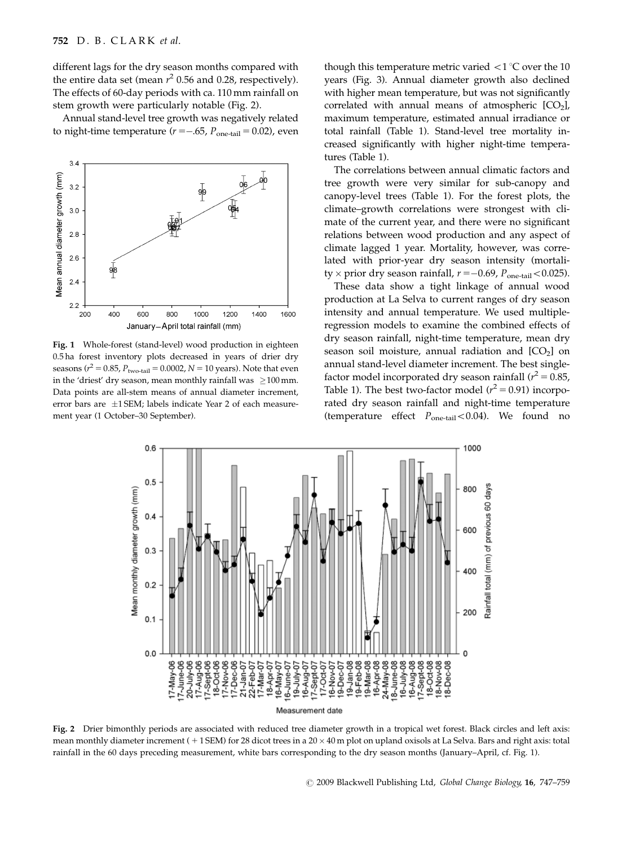different lags for the dry season months compared with the entire data set (mean  $r^2$  0.56 and 0.28, respectively). The effects of 60-day periods with ca. 110 mm rainfall on stem growth were particularly notable (Fig. 2).

Annual stand-level tree growth was negatively related to night-time temperature ( $r = -.65$ ,  $P_{one-tail} = 0.02$ ), even



Fig. 1 Whole-forest (stand-level) wood production in eighteen 0.5 ha forest inventory plots decreased in years of drier dry seasons ( $r^2 = 0.85$ ,  $P_{\text{two-tail}} = 0.0002$ ,  $N = 10$  years). Note that even in the 'driest' dry season, mean monthly rainfall was  $~\geq$ 100 mm. Data points are all-stem means of annual diameter increment, error bars are  $\pm 1$  SEM; labels indicate Year 2 of each measurement year (1 October–30 September).

though this temperature metric varied  $\langle 1 \, ^\circ \text{C}$  over the 10 years (Fig. 3). Annual diameter growth also declined with higher mean temperature, but was not significantly correlated with annual means of atmospheric  $[CO<sub>2</sub>]$ , maximum temperature, estimated annual irradiance or total rainfall (Table 1). Stand-level tree mortality increased significantly with higher night-time temperatures (Table 1).

The correlations between annual climatic factors and tree growth were very similar for sub-canopy and canopy-level trees (Table 1). For the forest plots, the climate–growth correlations were strongest with climate of the current year, and there were no significant relations between wood production and any aspect of climate lagged 1 year. Mortality, however, was correlated with prior-year dry season intensity (mortality  $\times$  prior dry season rainfall,  $r = -0.69$ ,  $P_{one-tail} < 0.025$ ).

These data show a tight linkage of annual wood production at La Selva to current ranges of dry season intensity and annual temperature. We used multipleregression models to examine the combined effects of dry season rainfall, night-time temperature, mean dry season soil moisture, annual radiation and  $[CO<sub>2</sub>]$  on annual stand-level diameter increment. The best singlefactor model incorporated dry season rainfall ( $r^2 = 0.85$ , Table 1). The best two-factor model  $(r^2 = 0.91)$  incorporated dry season rainfall and night-time temperature (temperature effect  $P_{one-tail} < 0.04$ ). We found no



Fig. 2 Drier bimonthly periods are associated with reduced tree diameter growth in a tropical wet forest. Black circles and left axis: mean monthly diameter increment ( $+1$  SEM) for 28 dicot trees in a 20  $\times$  40 m plot on upland oxisols at La Selva. Bars and right axis: total rainfall in the 60 days preceding measurement, white bars corresponding to the dry season months (January–April, cf. Fig. 1).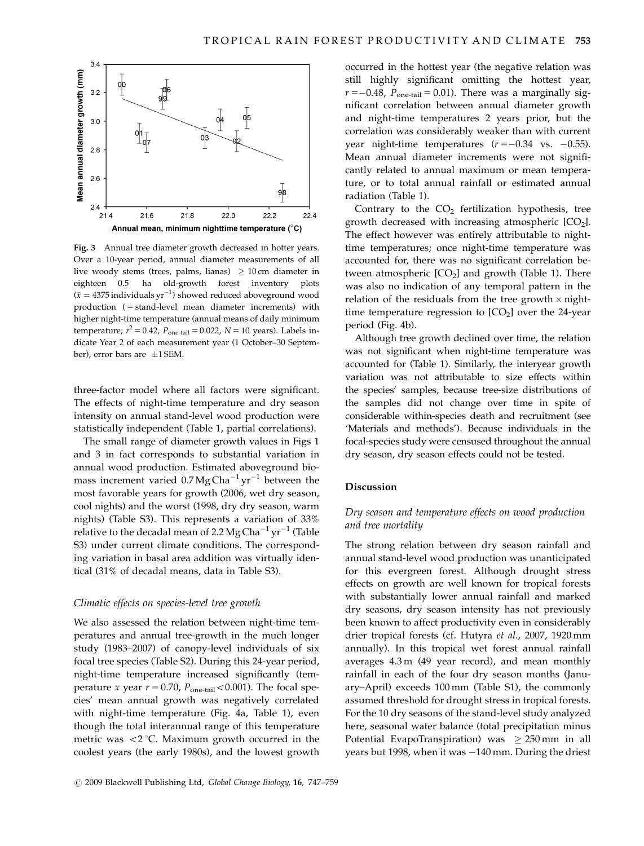

Fig. 3 Annual tree diameter growth decreased in hotter years. Over a 10-year period, annual diameter measurements of all live woody stems (trees, palms, lianas)  $~\geq 10\,\mathrm{cm}$  diameter in eighteen 0.5 ha old-growth forest inventory plots  $(\bar{x} = 4375 \text{ individuals yr}^{-1})$  showed reduced aboveground wood production ( = stand-level mean diameter increments) with higher night-time temperature (annual means of daily minimum temperature;  $r^2 = 0.42$ ,  $P_{one-tail} = 0.022$ ,  $N = 10$  years). Labels indicate Year 2 of each measurement year (1 October–30 September), error bars are  $\pm 1$  SEM.

three-factor model where all factors were significant. The effects of night-time temperature and dry season intensity on annual stand-level wood production were statistically independent (Table 1, partial correlations).

The small range of diameter growth values in Figs 1 and 3 in fact corresponds to substantial variation in annual wood production. Estimated aboveground biomass increment varied  $0.7 \text{Mg} \text{Cha}^{-1} \text{yr}^{-1}$  between the most favorable years for growth (2006, wet dry season, cool nights) and the worst (1998, dry dry season, warm nights) (Table S3). This represents a variation of 33% relative to the decadal mean of 2.2 Mg Cha<sup>-1</sup> yr<sup>-1</sup> (Table S3) under current climate conditions. The corresponding variation in basal area addition was virtually identical (31% of decadal means, data in Table S3).

## Climatic effects on species-level tree growth

We also assessed the relation between night-time temperatures and annual tree-growth in the much longer study (1983–2007) of canopy-level individuals of six focal tree species (Table S2). During this 24-year period, night-time temperature increased significantly (temperature x year  $r = 0.70$ ,  $P_{one-tail} < 0.001$ ). The focal species' mean annual growth was negatively correlated with night-time temperature (Fig. 4a, Table 1), even though the total interannual range of this temperature metric was  $\langle 2^{\circ}$ C. Maximum growth occurred in the coolest years (the early 1980s), and the lowest growth

occurred in the hottest year (the negative relation was still highly significant omitting the hottest year,  $r = -0.48$ ,  $P_{one-tail} = 0.01$ ). There was a marginally significant correlation between annual diameter growth and night-time temperatures 2 years prior, but the correlation was considerably weaker than with current year night-time temperatures  $(r = -0.34 \text{ vs. } -0.55)$ . Mean annual diameter increments were not significantly related to annual maximum or mean temperature, or to total annual rainfall or estimated annual radiation (Table 1).

Contrary to the  $CO<sub>2</sub>$  fertilization hypothesis, tree growth decreased with increasing atmospheric  $[CO<sub>2</sub>]$ . The effect however was entirely attributable to nighttime temperatures; once night-time temperature was accounted for, there was no significant correlation between atmospheric  $[CO<sub>2</sub>]$  and growth (Table 1). There was also no indication of any temporal pattern in the relation of the residuals from the tree growth  $\times$  nighttime temperature regression to  $[CO<sub>2</sub>]$  over the 24-year period (Fig. 4b).

Although tree growth declined over time, the relation was not significant when night-time temperature was accounted for (Table 1). Similarly, the interyear growth variation was not attributable to size effects within the species' samples, because tree-size distributions of the samples did not change over time in spite of considerable within-species death and recruitment (see 'Materials and methods'). Because individuals in the focal-species study were censused throughout the annual dry season, dry season effects could not be tested.

# Discussion

# Dry season and temperature effects on wood production and tree mortality

The strong relation between dry season rainfall and annual stand-level wood production was unanticipated for this evergreen forest. Although drought stress effects on growth are well known for tropical forests with substantially lower annual rainfall and marked dry seasons, dry season intensity has not previously been known to affect productivity even in considerably drier tropical forests (cf. Hutyra et al., 2007, 1920 mm annually). In this tropical wet forest annual rainfall averages 4.3 m (49 year record), and mean monthly rainfall in each of the four dry season months (January–April) exceeds 100 mm (Table S1), the commonly assumed threshold for drought stress in tropical forests. For the 10 dry seasons of the stand-level study analyzed here, seasonal water balance (total precipitation minus Potential EvapoTranspiration) was  $\geq 250$  mm in all years but 1998, when it was  $-140$  mm. During the driest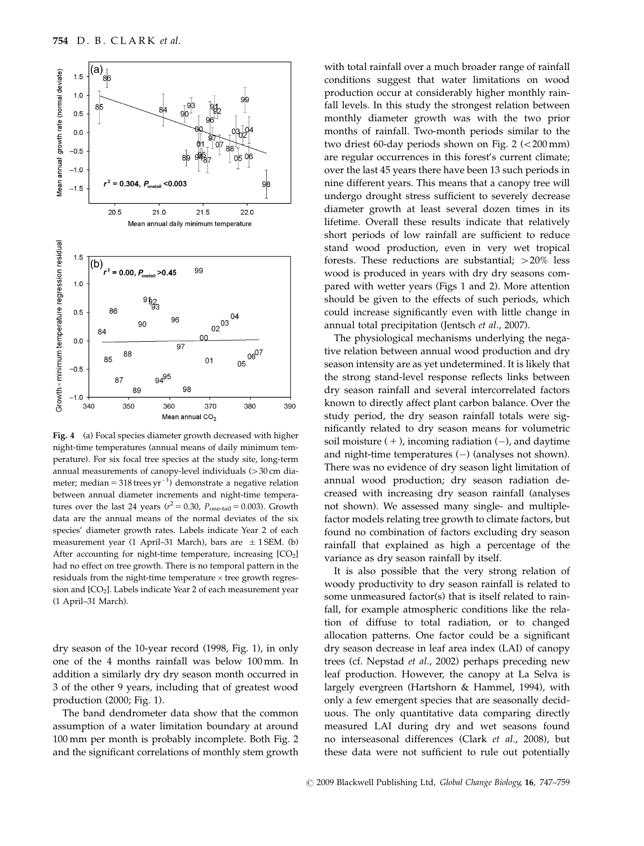

Fig. 4 (a) Focal species diameter growth decreased with higher night-time temperatures (annual means of daily minimum temperature). For six focal tree species at the study site, long-term annual measurements of canopy-level individuals  $(>30 \text{ cm})$  diameter; median = 318 trees yr<sup>-1</sup>) demonstrate a negative relation between annual diameter increments and night-time temperatures over the last 24 years ( $r^2 = 0.30$ ,  $P_{one-tail} = 0.003$ ). Growth data are the annual means of the normal deviates of the six species' diameter growth rates. Labels indicate Year 2 of each measurement year (1 April–31 March), bars are  $\pm$  1 SEM. (b) After accounting for night-time temperature, increasing  $[CO<sub>2</sub>]$ had no effect on tree growth. There is no temporal pattern in the residuals from the night-time temperature  $\times$  tree growth regression and [CO<sub>2</sub>]. Labels indicate Year 2 of each measurement year (1 April–31 March).

dry season of the 10-year record (1998, Fig. 1), in only one of the 4 months rainfall was below 100 mm. In addition a similarly dry dry season month occurred in 3 of the other 9 years, including that of greatest wood production (2000; Fig. 1).

The band dendrometer data show that the common assumption of a water limitation boundary at around 100 mm per month is probably incomplete. Both Fig. 2 and the significant correlations of monthly stem growth with total rainfall over a much broader range of rainfall conditions suggest that water limitations on wood production occur at considerably higher monthly rainfall levels. In this study the strongest relation between monthly diameter growth was with the two prior months of rainfall. Two-month periods similar to the two driest 60-day periods shown on Fig.  $2$  ( $\lt$  200 mm) are regular occurrences in this forest's current climate; over the last 45 years there have been 13 such periods in nine different years. This means that a canopy tree will undergo drought stress sufficient to severely decrease diameter growth at least several dozen times in its lifetime. Overall these results indicate that relatively short periods of low rainfall are sufficient to reduce stand wood production, even in very wet tropical forests. These reductions are substantial;  $>20\%$  less wood is produced in years with dry dry seasons compared with wetter years (Figs 1 and 2). More attention should be given to the effects of such periods, which could increase significantly even with little change in annual total precipitation (Jentsch et al., 2007).

The physiological mechanisms underlying the negative relation between annual wood production and dry season intensity are as yet undetermined. It is likely that the strong stand-level response reflects links between dry season rainfall and several intercorrelated factors known to directly affect plant carbon balance. Over the study period, the dry season rainfall totals were significantly related to dry season means for volumetric soil moisture  $( + )$ , incoming radiation  $( - )$ , and daytime and night-time temperatures  $(-)$  (analyses not shown). There was no evidence of dry season light limitation of annual wood production; dry season radiation decreased with increasing dry season rainfall (analyses not shown). We assessed many single- and multiplefactor models relating tree growth to climate factors, but found no combination of factors excluding dry season rainfall that explained as high a percentage of the variance as dry season rainfall by itself.

It is also possible that the very strong relation of woody productivity to dry season rainfall is related to some unmeasured factor(s) that is itself related to rainfall, for example atmospheric conditions like the relation of diffuse to total radiation, or to changed allocation patterns. One factor could be a significant dry season decrease in leaf area index (LAI) of canopy trees (cf. Nepstad et al., 2002) perhaps preceding new leaf production. However, the canopy at La Selva is largely evergreen (Hartshorn & Hammel, 1994), with only a few emergent species that are seasonally deciduous. The only quantitative data comparing directly measured LAI during dry and wet seasons found no interseasonal differences (Clark et al., 2008), but these data were not sufficient to rule out potentially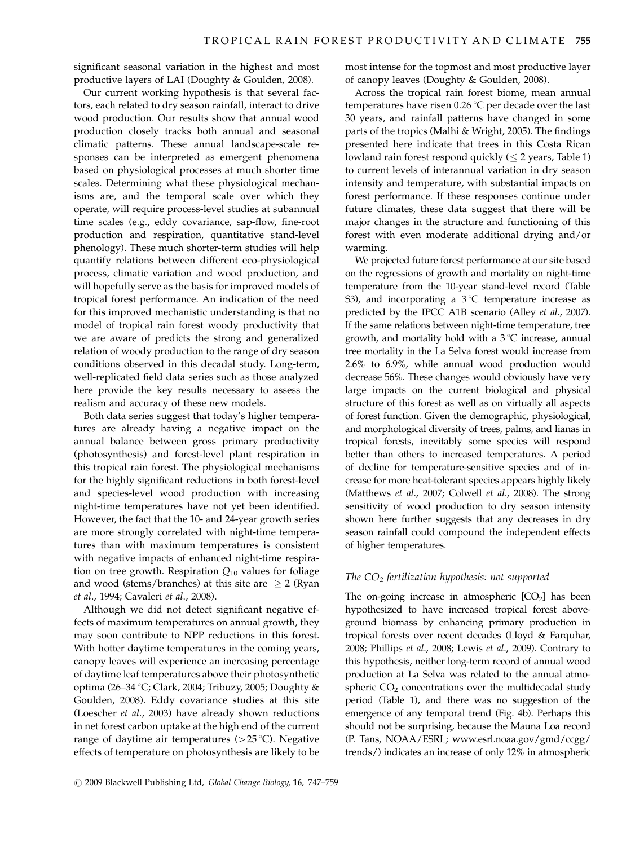significant seasonal variation in the highest and most productive layers of LAI (Doughty & Goulden, 2008).

Our current working hypothesis is that several factors, each related to dry season rainfall, interact to drive wood production. Our results show that annual wood production closely tracks both annual and seasonal climatic patterns. These annual landscape-scale responses can be interpreted as emergent phenomena based on physiological processes at much shorter time scales. Determining what these physiological mechanisms are, and the temporal scale over which they operate, will require process-level studies at subannual time scales (e.g., eddy covariance, sap-flow, fine-root production and respiration, quantitative stand-level phenology). These much shorter-term studies will help quantify relations between different eco-physiological process, climatic variation and wood production, and will hopefully serve as the basis for improved models of tropical forest performance. An indication of the need for this improved mechanistic understanding is that no model of tropical rain forest woody productivity that we are aware of predicts the strong and generalized relation of woody production to the range of dry season conditions observed in this decadal study. Long-term, well-replicated field data series such as those analyzed here provide the key results necessary to assess the realism and accuracy of these new models.

Both data series suggest that today's higher temperatures are already having a negative impact on the annual balance between gross primary productivity (photosynthesis) and forest-level plant respiration in this tropical rain forest. The physiological mechanisms for the highly significant reductions in both forest-level and species-level wood production with increasing night-time temperatures have not yet been identified. However, the fact that the 10- and 24-year growth series are more strongly correlated with night-time temperatures than with maximum temperatures is consistent with negative impacts of enhanced night-time respiration on tree growth. Respiration  $Q_{10}$  values for foliage and wood (stems/branches) at this site are  $\geq$  2 (Ryan et al., 1994; Cavaleri et al., 2008).

Although we did not detect significant negative effects of maximum temperatures on annual growth, they may soon contribute to NPP reductions in this forest. With hotter daytime temperatures in the coming years, canopy leaves will experience an increasing percentage of daytime leaf temperatures above their photosynthetic optima (26–34 °C; Clark, 2004; Tribuzy, 2005; Doughty & Goulden, 2008). Eddy covariance studies at this site (Loescher et al., 2003) have already shown reductions in net forest carbon uptake at the high end of the current range of daytime air temperatures  $(>25 \degree C)$ . Negative effects of temperature on photosynthesis are likely to be most intense for the topmost and most productive layer of canopy leaves (Doughty & Goulden, 2008).

Across the tropical rain forest biome, mean annual temperatures have risen  $0.26$  °C per decade over the last 30 years, and rainfall patterns have changed in some parts of the tropics (Malhi & Wright, 2005). The findings presented here indicate that trees in this Costa Rican lowland rain forest respond quickly ( $\leq 2$  years, Table 1) to current levels of interannual variation in dry season intensity and temperature, with substantial impacts on forest performance. If these responses continue under future climates, these data suggest that there will be major changes in the structure and functioning of this forest with even moderate additional drying and/or warming.

We projected future forest performance at our site based on the regressions of growth and mortality on night-time temperature from the 10-year stand-level record (Table S3), and incorporating a  $3^{\circ}$ C temperature increase as predicted by the IPCC A1B scenario (Alley et al., 2007). If the same relations between night-time temperature, tree growth, and mortality hold with a  $3^{\circ}$ C increase, annual tree mortality in the La Selva forest would increase from 2.6% to 6.9%, while annual wood production would decrease 56%. These changes would obviously have very large impacts on the current biological and physical structure of this forest as well as on virtually all aspects of forest function. Given the demographic, physiological, and morphological diversity of trees, palms, and lianas in tropical forests, inevitably some species will respond better than others to increased temperatures. A period of decline for temperature-sensitive species and of increase for more heat-tolerant species appears highly likely (Matthews et al., 2007; Colwell et al., 2008). The strong sensitivity of wood production to dry season intensity shown here further suggests that any decreases in dry season rainfall could compound the independent effects of higher temperatures.

#### The  $CO<sub>2</sub>$  fertilization hypothesis: not supported

The on-going increase in atmospheric  $[CO<sub>2</sub>]$  has been hypothesized to have increased tropical forest aboveground biomass by enhancing primary production in tropical forests over recent decades (Lloyd & Farquhar, 2008; Phillips et al., 2008; Lewis et al., 2009). Contrary to this hypothesis, neither long-term record of annual wood production at La Selva was related to the annual atmospheric  $CO<sub>2</sub>$  concentrations over the multidecadal study period (Table 1), and there was no suggestion of the emergence of any temporal trend (Fig. 4b). Perhaps this should not be surprising, because the Mauna Loa record (P. Tans, NOAA/ESRL; [www.esrl.noaa.gov/gmd/ccgg/](www.esrl.noaa.gov/gmd/ccgg/trends/) [trends/\) indicates an increase of only 12% in atmospheric](www.esrl.noaa.gov/gmd/ccgg/trends/)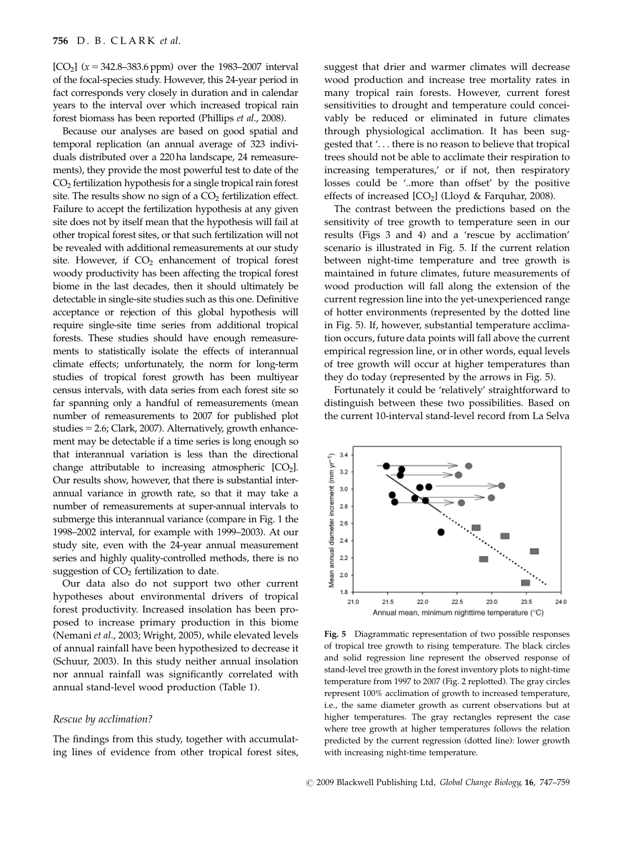[CO<sub>2</sub>] ( $x = 342.8 - 383.6$  ppm) over the 1983–2007 interval [of the focal-species study. However, this 24-year period in](www.esrl.noaa.gov/gmd/ccgg/trends/) [fact corresponds very closely in duration and in calendar](www.esrl.noaa.gov/gmd/ccgg/trends/) [years to the interval over which increased tropical rain](www.esrl.noaa.gov/gmd/ccgg/trends/) [forest biomass has been reported \(Phillips](www.esrl.noaa.gov/gmd/ccgg/trends/) et al., 2008).

Because our analyses are based on good spatial and temporal replication (an annual average of 323 individuals distributed over a 220 ha landscape, 24 remeasurements), they provide the most powerful test to date of the CO2 fertilization hypothesis for a single tropical rain forest site. The results show no sign of a  $CO<sub>2</sub>$  fertilization effect. Failure to accept the fertilization hypothesis at any given site does not by itself mean that the hypothesis will fail at other tropical forest sites, or that such fertilization will not be revealed with additional remeasurements at our study site. However, if  $CO<sub>2</sub>$  enhancement of tropical forest woody productivity has been affecting the tropical forest biome in the last decades, then it should ultimately be detectable in single-site studies such as this one. Definitive acceptance or rejection of this global hypothesis will require single-site time series from additional tropical forests. These studies should have enough remeasurements to statistically isolate the effects of interannual climate effects; unfortunately, the norm for long-term studies of tropical forest growth has been multiyear census intervals, with data series from each forest site so far spanning only a handful of remeasurements (mean number of remeasurements to 2007 for published plot studies  $= 2.6$ ; Clark, 2007). Alternatively, growth enhancement may be detectable if a time series is long enough so that interannual variation is less than the directional change attributable to increasing atmospheric  $[CO<sub>2</sub>]$ . Our results show, however, that there is substantial interannual variance in growth rate, so that it may take a number of remeasurements at super-annual intervals to submerge this interannual variance (compare in Fig. 1 the 1998–2002 interval, for example with 1999–2003). At our study site, even with the 24-year annual measurement series and highly quality-controlled methods, there is no suggestion of  $CO<sub>2</sub>$  fertilization to date.

Our data also do not support two other current hypotheses about environmental drivers of tropical forest productivity. Increased insolation has been proposed to increase primary production in this biome (Nemani et al., 2003; Wright, 2005), while elevated levels of annual rainfall have been hypothesized to decrease it (Schuur, 2003). In this study neither annual insolation nor annual rainfall was significantly correlated with annual stand-level wood production (Table 1).

#### Rescue by acclimation?

The findings from this study, together with accumulating lines of evidence from other tropical forest sites, suggest that drier and warmer climates will decrease wood production and increase tree mortality rates in many tropical rain forests. However, current forest sensitivities to drought and temperature could conceivably be reduced or eliminated in future climates through physiological acclimation. It has been suggested that '. . . there is no reason to believe that tropical trees should not be able to acclimate their respiration to increasing temperatures,' or if not, then respiratory losses could be '..more than offset' by the positive effects of increased  $[CO<sub>2</sub>]$  (Lloyd & Farquhar, 2008).

The contrast between the predictions based on the sensitivity of tree growth to temperature seen in our results (Figs 3 and 4) and a 'rescue by acclimation' scenario is illustrated in Fig. 5. If the current relation between night-time temperature and tree growth is maintained in future climates, future measurements of wood production will fall along the extension of the current regression line into the yet-unexperienced range of hotter environments (represented by the dotted line in Fig. 5). If, however, substantial temperature acclimation occurs, future data points will fall above the current empirical regression line, or in other words, equal levels of tree growth will occur at higher temperatures than they do today (represented by the arrows in Fig. 5).

Fortunately it could be 'relatively' straightforward to distinguish between these two possibilities. Based on the current 10-interval stand-level record from La Selva



Fig. 5 Diagrammatic representation of two possible responses of tropical tree growth to rising temperature. The black circles and solid regression line represent the observed response of stand-level tree growth in the forest inventory plots to night-time temperature from 1997 to 2007 (Fig. 2 replotted). The gray circles represent 100% acclimation of growth to increased temperature, i.e., the same diameter growth as current observations but at higher temperatures. The gray rectangles represent the case where tree growth at higher temperatures follows the relation predicted by the current regression (dotted line): lower growth with increasing night-time temperature.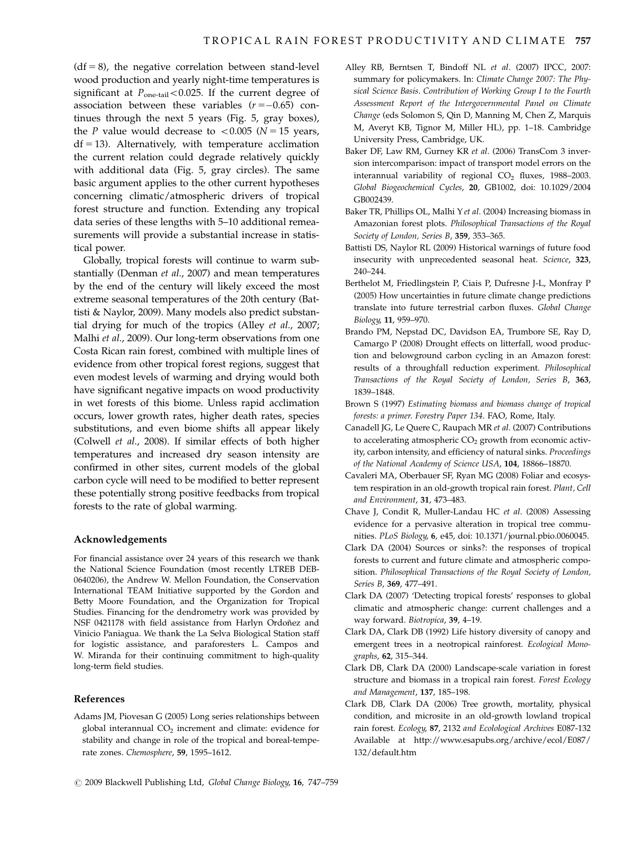$(df = 8)$ , the negative correlation between stand-level wood production and yearly night-time temperatures is significant at  $P_{one-tail}$  < 0.025. If the current degree of association between these variables  $(r = -0.65)$  continues through the next 5 years (Fig. 5, gray boxes), the P value would decrease to  $< 0.005$  (N = 15 years,  $df = 13$ ). Alternatively, with temperature acclimation the current relation could degrade relatively quickly with additional data (Fig. 5, gray circles). The same basic argument applies to the other current hypotheses concerning climatic/atmospheric drivers of tropical forest structure and function. Extending any tropical data series of these lengths with 5–10 additional remeasurements will provide a substantial increase in statistical power.

Globally, tropical forests will continue to warm substantially (Denman et al., 2007) and mean temperatures by the end of the century will likely exceed the most extreme seasonal temperatures of the 20th century (Battisti & Naylor, 2009). Many models also predict substantial drying for much of the tropics (Alley et al., 2007; Malhi et al., 2009). Our long-term observations from one Costa Rican rain forest, combined with multiple lines of evidence from other tropical forest regions, suggest that even modest levels of warming and drying would both have significant negative impacts on wood productivity in wet forests of this biome. Unless rapid acclimation occurs, lower growth rates, higher death rates, species substitutions, and even biome shifts all appear likely (Colwell et al., 2008). If similar effects of both higher temperatures and increased dry season intensity are confirmed in other sites, current models of the global carbon cycle will need to be modified to better represent these potentially strong positive feedbacks from tropical forests to the rate of global warming.

## Acknowledgements

For financial assistance over 24 years of this research we thank the National Science Foundation (most recently LTREB DEB-0640206), the Andrew W. Mellon Foundation, the Conservation International TEAM Initiative supported by the Gordon and Betty Moore Foundation, and the Organization for Tropical Studies. Financing for the dendrometry work was provided by NSF 0421178 with field assistance from Harlyn Ordoñez and Vinicio Paniagua. We thank the La Selva Biological Station staff for logistic assistance, and paraforesters L. Campos and W. Miranda for their continuing commitment to high-quality long-term field studies.

## References

Adams JM, Piovesan G (2005) Long series relationships between global interannual  $CO<sub>2</sub>$  increment and climate: evidence for stability and change in role of the tropical and boreal-temperate zones. Chemosphere, 59, 1595–1612.

- Alley RB, Berntsen T, Bindoff NL et al. (2007) IPCC, 2007: summary for policymakers. In: Climate Change 2007: The Physical Science Basis. Contribution of Working Group I to the Fourth Assessment Report of the Intergovernmental Panel on Climate Change (eds Solomon S, Qin D, Manning M, Chen Z, Marquis M, Averyt KB, Tignor M, Miller HL), pp. 1–18. Cambridge University Press, Cambridge, UK.
- Baker DF, Law RM, Gurney KR et al. (2006) TransCom 3 inversion intercomparison: impact of transport model errors on the interannual variability of regional  $CO<sub>2</sub>$  fluxes, 1988–2003. Global Biogeochemical Cycles, 20, GB1002, doi: [10.1029/2004](10.1029/2004GB002439) [GB002439.](10.1029/2004GB002439)
- Baker TR, Phillips OL, Malhi Yet al. (2004) Increasing biomass in Amazonian forest plots. Philosophical Transactions of the Royal Society of London, Series B, 359, 353–365.
- Battisti DS, Naylor RL (2009) Historical warnings of future food insecurity with unprecedented seasonal heat. Science, 323, 240–244.
- Berthelot M, Friedlingstein P, Ciais P, Dufresne J-L, Monfray P (2005) How uncertainties in future climate change predictions translate into future terrestrial carbon fluxes. Global Change Biology, 11, 959–970.
- Brando PM, Nepstad DC, Davidson EA, Trumbore SE, Ray D, Camargo P (2008) Drought effects on litterfall, wood production and belowground carbon cycling in an Amazon forest: results of a throughfall reduction experiment. Philosophical Transactions of the Royal Society of London, Series B, 363, 1839–1848.
- Brown S (1997) Estimating biomass and biomass change of tropical forests: a primer. Forestry Paper 134. FAO, Rome, Italy.
- Canadell JG, Le Quere C, Raupach MR et al. (2007) Contributions to accelerating atmospheric  $CO<sub>2</sub>$  growth from economic activity, carbon intensity, and efficiency of natural sinks. Proceedings of the National Academy of Science USA, 104, 18866–18870.
- Cavaleri MA, Oberbauer SF, Ryan MG (2008) Foliar and ecosystem respiration in an old-growth tropical rain forest. Plant, Cell and Environment, 31, 473–483.
- Chave J, Condit R, Muller-Landau HC et al. (2008) Assessing evidence for a pervasive alteration in tropical tree communities. PLoS Biology, 6, e45, doi: [10.1371/journal.pbio.0060045.](10.1371/journal.pbio.0060045)
- Clark DA (2004) Sources or sinks?: the responses of tropical forests to current and future climate and atmospheric composition. Philosophical Transactions of the Royal Society of London, Series B, 369, 477–491.
- Clark DA (2007) 'Detecting tropical forests' responses to global climatic and atmospheric change: current challenges and a way forward. Biotropica, 39, 4–19.
- Clark DA, Clark DB (1992) Life history diversity of canopy and emergent trees in a neotropical rainforest. Ecological Monographs, 62, 315–344.
- Clark DB, Clark DA (2000) Landscape-scale variation in forest structure and biomass in a tropical rain forest. Forest Ecology and Management, 137, 185–198.
- Clark DB, Clark DA (2006) Tree growth, mortality, physical condition, and microsite in an old-growth lowland tropical rain forest. Ecology, 87, 2132 and Ecolological Archives E087-132 Available at [http://www.esapubs.org/archive/ecol/E087/](http://www.esapubs.org/archive/ecol/E087/132/default.htm) [132/default.htm](http://www.esapubs.org/archive/ecol/E087/132/default.htm)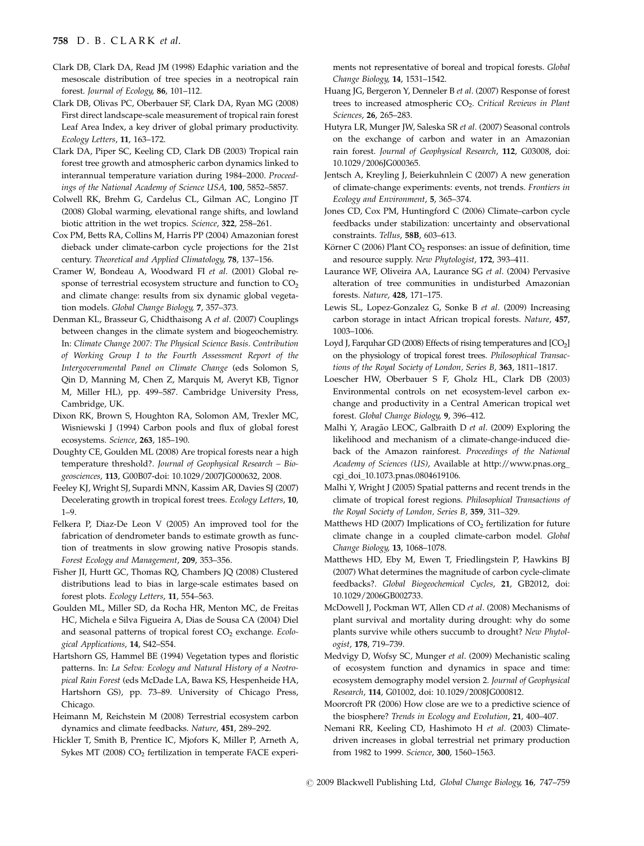## 758 D. B. CLARK et al.

- Clark DB, Clark DA, Read JM (1998) Edaphic variation and the mesoscale distribution of tree species in a neotropical rain forest. Journal of Ecology, 86, 101–112.
- Clark DB, Olivas PC, Oberbauer SF, Clark DA, Ryan MG (2008) First direct landscape-scale measurement of tropical rain forest Leaf Area Index, a key driver of global primary productivity. Ecology Letters, 11, 163–172.
- Clark DA, Piper SC, Keeling CD, Clark DB (2003) Tropical rain forest tree growth and atmospheric carbon dynamics linked to interannual temperature variation during 1984–2000. Proceedings of the National Academy of Science USA, 100, 5852–5857.
- Colwell RK, Brehm G, Cardelus CL, Gilman AC, Longino JT (2008) Global warming, elevational range shifts, and lowland biotic attrition in the wet tropics. Science, 322, 258–261.
- Cox PM, Betts RA, Collins M, Harris PP (2004) Amazonian forest dieback under climate-carbon cycle projections for the 21st century. Theoretical and Applied Climatology, 78, 137–156.
- Cramer W, Bondeau A, Woodward FI et al. (2001) Global response of terrestrial ecosystem structure and function to  $CO<sub>2</sub>$ and climate change: results from six dynamic global vegetation models. Global Change Biology, 7, 357–373.
- Denman KL, Brasseur G, Chidthaisong A et al. (2007) Couplings between changes in the climate system and biogeochemistry. In: Climate Change 2007: The Physical Science Basis. Contribution of Working Group I to the Fourth Assessment Report of the Intergovernmental Panel on Climate Change (eds Solomon S, Qin D, Manning M, Chen Z, Marquis M, Averyt KB, Tignor M, Miller HL), pp. 499–587. Cambridge University Press, Cambridge, UK.
- Dixon RK, Brown S, Houghton RA, Solomon AM, Trexler MC, Wisniewski J (1994) Carbon pools and flux of global forest ecosystems. Science, 263, 185–190.
- Doughty CE, Goulden ML (2008) Are tropical forests near a high temperature threshold?. Journal of Geophysical Research – Biogeosciences, 113, G00B07-doi: [10.1029/2007JG000632, 2008.](10.1029/2007JG000632, 2008)
- Feeley KJ, Wright SJ, Supardi MNN, Kassim AR, Davies SJ (2007) Decelerating growth in tropical forest trees. Ecology Letters, 10, 1–9.
- Felkera P, Diaz-De Leon V (2005) An improved tool for the fabrication of dendrometer bands to estimate growth as function of treatments in slow growing native Prosopis stands. Forest Ecology and Management, 209, 353–356.
- Fisher JI, Hurtt GC, Thomas RQ, Chambers JQ (2008) Clustered distributions lead to bias in large-scale estimates based on forest plots. Ecology Letters, 11, 554–563.
- Goulden ML, Miller SD, da Rocha HR, Menton MC, de Freitas HC, Michela e Silva Figueira A, Dias de Sousa CA (2004) Diel and seasonal patterns of tropical forest  $CO<sub>2</sub>$  exchange. Ecological Applications, 14, S42–S54.
- Hartshorn GS, Hammel BE (1994) Vegetation types and floristic patterns. In: La Selva: Ecology and Natural History of a Neotropical Rain Forest (eds McDade LA, Bawa KS, Hespenheide HA, Hartshorn GS), pp. 73–89. University of Chicago Press, Chicago.
- Heimann M, Reichstein M (2008) Terrestrial ecosystem carbon dynamics and climate feedbacks. Nature, 451, 289–292.
- Hickler T, Smith B, Prentice IC, Mjofors K, Miller P, Arneth A, Sykes MT (2008)  $CO<sub>2</sub>$  fertilization in temperate FACE experi-

ments not representative of boreal and tropical forests. Global Change Biology, 14, 1531–1542.

- Huang JG, Bergeron Y, Denneler B et al. (2007) Response of forest trees to increased atmospheric CO<sub>2</sub>. Critical Reviews in Plant Sciences, 26, 265–283.
- Hutyra LR, Munger JW, Saleska SR et al. (2007) Seasonal controls on the exchange of carbon and water in an Amazonian rain forest. Journal of Geophysical Research, 112, G03008, doi: [10.1029/2006JG000365.](10.1029/2006JG000365)
- Jentsch A, Kreyling J, Beierkuhnlein C (2007) A new generation of climate-change experiments: events, not trends. Frontiers in Ecology and Environment, 5, 365–374.
- Jones CD, Cox PM, Huntingford C (2006) Climate–carbon cycle feedbacks under stabilization: uncertainty and observational constraints. Tellus, 58B, 603–613.
- Körner C (2006) Plant  $CO<sub>2</sub>$  responses: an issue of definition, time and resource supply. New Phytologist, 172, 393–411.
- Laurance WF, Oliveira AA, Laurance SG et al. (2004) Pervasive alteration of tree communities in undisturbed Amazonian forests. Nature, 428, 171–175.
- Lewis SL, Lopez-Gonzalez G, Sonke B et al. (2009) Increasing carbon storage in intact African tropical forests. Nature, 457, 1003–1006.
- Loyd J, Farquhar GD (2008) Effects of rising temperatures and  $[CO<sub>2</sub>]$ on the physiology of tropical forest trees. Philosophical Transactions of the Royal Society of London, Series B, 363, 1811–1817.
- Loescher HW, Oberbauer S F, Gholz HL, Clark DB (2003) Environmental controls on net ecosystem-level carbon exchange and productivity in a Central American tropical wet forest. Global Change Biology, 9, 396–412.
- Malhi Y, Aragão LEOC, Galbraith D et al. (2009) Exploring the likelihood and mechanism of a climate-change-induced dieback of the Amazon rainforest. Proceedings of the National Academy of Sciences (US), Available at [http://www.pnas.org\\_](http://www.pnas.org_cgi_doi_10.1073.pnas.0804619106) [cgi\\_doi\\_10.1073.pnas.0804619106.](http://www.pnas.org_cgi_doi_10.1073.pnas.0804619106)
- Malhi Y, Wright J (2005) Spatial patterns and recent trends in the climate of tropical forest regions. Philosophical Transactions of the Royal Society of London, Series B, 359, 311–329.
- Matthews HD (2007) Implications of  $CO<sub>2</sub>$  fertilization for future climate change in a coupled climate-carbon model. Global Change Biology, 13, 1068–1078.
- Matthews HD, Eby M, Ewen T, Friedlingstein P, Hawkins BJ (2007) What determines the magnitude of carbon cycle-climate feedbacks?. Global Biogeochemical Cycles, 21, GB2012, doi: [10.1029/2006GB002733.](10.1029/2006GB002733)
- McDowell J, Pockman WT, Allen CD et al. (2008) Mechanisms of plant survival and mortality during drought: why do some plants survive while others succumb to drought? New Phytologist, 178, 719–739.
- Medvigy D, Wofsy SC, Munger et al. (2009) Mechanistic scaling of ecosystem function and dynamics in space and time: ecosystem demography model version 2. Journal of Geophysical Research, 114, G01002, doi: [10.1029/2008JG000812.](10.1029/2008JG000812)
- Moorcroft PR (2006) How close are we to a predictive science of the biosphere? Trends in Ecology and Evolution, 21, 400–407.
- Nemani RR, Keeling CD, Hashimoto H et al. (2003) Climatedriven increases in global terrestrial net primary production from 1982 to 1999. Science, 300, 1560–1563.